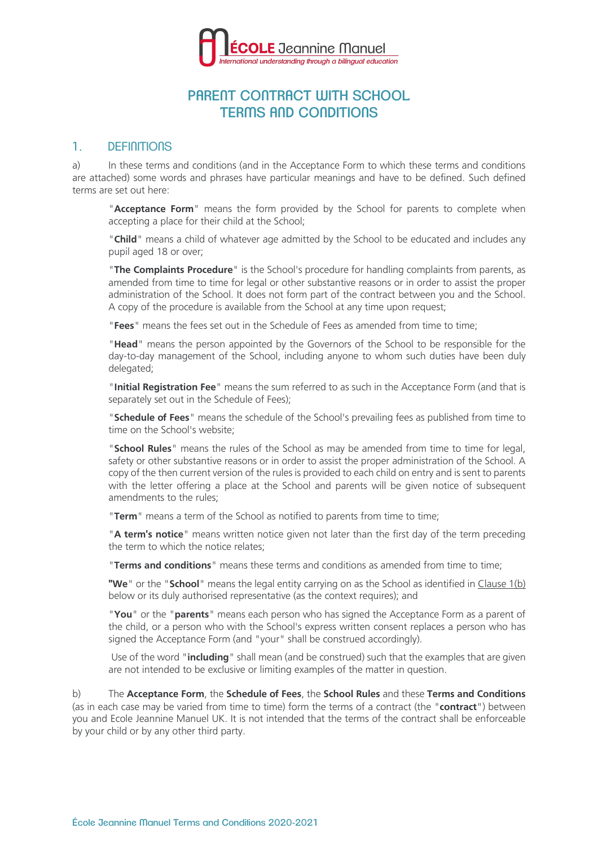

# PARENT CONTRACT WITH SCHOOL TERMS AND CONDITIONS

#### 1. DEFINITIONS

a) In these terms and conditions (and in the Acceptance Form to which these terms and conditions are attached) some words and phrases have particular meanings and have to be defined. Such defined terms are set out here:

"**Acceptance Form**" means the form provided by the School for parents to complete when accepting a place for their child at the School;

"**Child**" means a child of whatever age admitted by the School to be educated and includes any pupil aged 18 or over;

"**The Complaints Procedure**" is the School's procedure for handling complaints from parents, as amended from time to time for legal or other substantive reasons or in order to assist the proper administration of the School. It does not form part of the contract between you and the School. A copy of the procedure is available from the School at any time upon request;

"**Fees**" means the fees set out in the Schedule of Fees as amended from time to time;

"**Head**" means the person appointed by the Governors of the School to be responsible for the day-to-day management of the School, including anyone to whom such duties have been duly delegated;

"**Initial Registration Fee**" means the sum referred to as such in the Acceptance Form (and that is separately set out in the Schedule of Fees);

"**Schedule of Fees**" means the schedule of the School's prevailing fees as published from time to time on the School's website;

"**School Rules**" means the rules of the School as may be amended from time to time for legal, safety or other substantive reasons or in order to assist the proper administration of the School. A copy of the then current version of the rules is provided to each child on entry and is sent to parents with the letter offering a place at the School and parents will be given notice of subsequent amendments to the rules;

"**Term**" means a term of the School as notified to parents from time to time;

"**A term's notice**" means written notice given not later than the first day of the term preceding the term to which the notice relates;

"**Terms and conditions**" means these terms and conditions as amended from time to time;

**"We**" or the "**School**" means the legal entity carrying on as the School as identified in Clause 1(b) below or its duly authorised representative (as the context requires); and

"**You**" or the "**parents**" means each person who has signed the Acceptance Form as a parent of the child, or a person who with the School's express written consent replaces a person who has signed the Acceptance Form (and "your" shall be construed accordingly).

Use of the word "**including**" shall mean (and be construed) such that the examples that are given are not intended to be exclusive or limiting examples of the matter in question.

b) The **Acceptance Form**, the **Schedule of Fees**, the **School Rules** and these **Terms and Conditions** (as in each case may be varied from time to time) form the terms of a contract (the "**contract**") between you and Ecole Jeannine Manuel UK. It is not intended that the terms of the contract shall be enforceable by your child or by any other third party.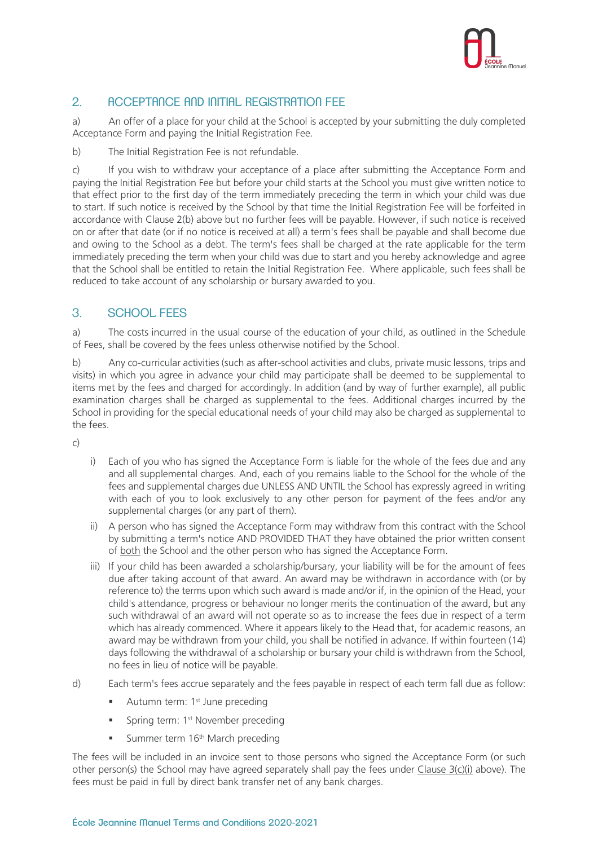

# 2. ACCEPTANCE AND INITIAL REGISTRATION FEE

a) An offer of a place for your child at the School is accepted by your submitting the duly completed Acceptance Form and paying the Initial Registration Fee.

b) The Initial Registration Fee is not refundable.

c) If you wish to withdraw your acceptance of a place after submitting the Acceptance Form and paying the Initial Registration Fee but before your child starts at the School you must give written notice to that effect prior to the first day of the term immediately preceding the term in which your child was due to start. If such notice is received by the School by that time the Initial Registration Fee will be forfeited in accordance with Clause 2(b) above but no further fees will be payable. However, if such notice is received on or after that date (or if no notice is received at all) a term's fees shall be payable and shall become due and owing to the School as a debt. The term's fees shall be charged at the rate applicable for the term immediately preceding the term when your child was due to start and you hereby acknowledge and agree that the School shall be entitled to retain the Initial Registration Fee. Where applicable, such fees shall be reduced to take account of any scholarship or bursary awarded to you.

# 3. SCHOOL FEES

a) The costs incurred in the usual course of the education of your child, as outlined in the Schedule of Fees, shall be covered by the fees unless otherwise notified by the School.

b) Any co-curricular activities (such as after-school activities and clubs, private music lessons, trips and visits) in which you agree in advance your child may participate shall be deemed to be supplemental to items met by the fees and charged for accordingly. In addition (and by way of further example), all public examination charges shall be charged as supplemental to the fees. Additional charges incurred by the School in providing for the special educational needs of your child may also be charged as supplemental to the fees.

c)

- i) Each of you who has signed the Acceptance Form is liable for the whole of the fees due and any and all supplemental charges. And, each of you remains liable to the School for the whole of the fees and supplemental charges due UNLESS AND UNTIL the School has expressly agreed in writing with each of you to look exclusively to any other person for payment of the fees and/or any supplemental charges (or any part of them).
- ii) A person who has signed the Acceptance Form may withdraw from this contract with the School by submitting a term's notice AND PROVIDED THAT they have obtained the prior written consent of both the School and the other person who has signed the Acceptance Form.
- iii) If your child has been awarded a scholarship/bursary, your liability will be for the amount of fees due after taking account of that award. An award may be withdrawn in accordance with (or by reference to) the terms upon which such award is made and/or if, in the opinion of the Head, your child's attendance, progress or behaviour no longer merits the continuation of the award, but any such withdrawal of an award will not operate so as to increase the fees due in respect of a term which has already commenced. Where it appears likely to the Head that, for academic reasons, an award may be withdrawn from your child, you shall be notified in advance. If within fourteen (14) days following the withdrawal of a scholarship or bursary your child is withdrawn from the School, no fees in lieu of notice will be payable.
- d) Each term's fees accrue separately and the fees payable in respect of each term fall due as follow:
	- § Autumn term: 1st June preceding
	- § Spring term: 1st November preceding
	- Summer term 16<sup>th</sup> March preceding

The fees will be included in an invoice sent to those persons who signed the Acceptance Form (or such other person(s) the School may have agreed separately shall pay the fees under Clause 3(c)(i) above). The fees must be paid in full by direct bank transfer net of any bank charges.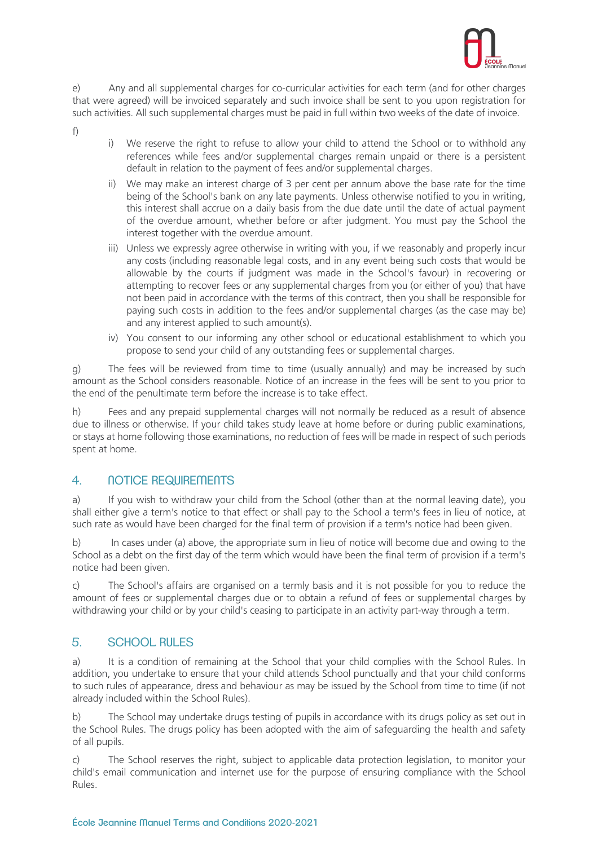

e) Any and all supplemental charges for co-curricular activities for each term (and for other charges that were agreed) will be invoiced separately and such invoice shall be sent to you upon registration for such activities. All such supplemental charges must be paid in full within two weeks of the date of invoice.

- f)
- i) We reserve the right to refuse to allow your child to attend the School or to withhold any references while fees and/or supplemental charges remain unpaid or there is a persistent default in relation to the payment of fees and/or supplemental charges.
- ii) We may make an interest charge of 3 per cent per annum above the base rate for the time being of the School's bank on any late payments. Unless otherwise notified to you in writing, this interest shall accrue on a daily basis from the due date until the date of actual payment of the overdue amount, whether before or after judgment. You must pay the School the interest together with the overdue amount.
- iii) Unless we expressly agree otherwise in writing with you, if we reasonably and properly incur any costs (including reasonable legal costs, and in any event being such costs that would be allowable by the courts if judgment was made in the School's favour) in recovering or attempting to recover fees or any supplemental charges from you (or either of you) that have not been paid in accordance with the terms of this contract, then you shall be responsible for paying such costs in addition to the fees and/or supplemental charges (as the case may be) and any interest applied to such amount(s).
- iv) You consent to our informing any other school or educational establishment to which you propose to send your child of any outstanding fees or supplemental charges.

g) The fees will be reviewed from time to time (usually annually) and may be increased by such amount as the School considers reasonable. Notice of an increase in the fees will be sent to you prior to the end of the penultimate term before the increase is to take effect.

h) Fees and any prepaid supplemental charges will not normally be reduced as a result of absence due to illness or otherwise. If your child takes study leave at home before or during public examinations, or stays at home following those examinations, no reduction of fees will be made in respect of such periods spent at home.

# 4. **NOTICE REQUIREMENTS**

a) If you wish to withdraw your child from the School (other than at the normal leaving date), you shall either give a term's notice to that effect or shall pay to the School a term's fees in lieu of notice, at such rate as would have been charged for the final term of provision if a term's notice had been given.

b) In cases under (a) above, the appropriate sum in lieu of notice will become due and owing to the School as a debt on the first day of the term which would have been the final term of provision if a term's notice had been given.

c) The School's affairs are organised on a termly basis and it is not possible for you to reduce the amount of fees or supplemental charges due or to obtain a refund of fees or supplemental charges by withdrawing your child or by your child's ceasing to participate in an activity part-way through a term.

# 5. SCHOOL RULES

a) It is a condition of remaining at the School that your child complies with the School Rules. In addition, you undertake to ensure that your child attends School punctually and that your child conforms to such rules of appearance, dress and behaviour as may be issued by the School from time to time (if not already included within the School Rules).

b) The School may undertake drugs testing of pupils in accordance with its drugs policy as set out in the School Rules. The drugs policy has been adopted with the aim of safeguarding the health and safety of all pupils.

c) The School reserves the right, subject to applicable data protection legislation, to monitor your child's email communication and internet use for the purpose of ensuring compliance with the School Rules.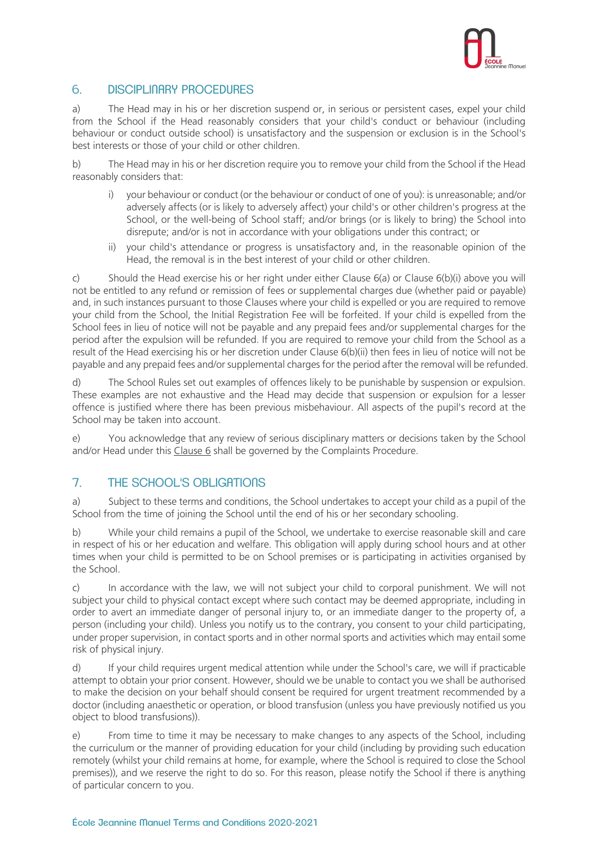

#### 6. DISCIPLINARY PROCEDURES

a) The Head may in his or her discretion suspend or, in serious or persistent cases, expel your child from the School if the Head reasonably considers that your child's conduct or behaviour (including behaviour or conduct outside school) is unsatisfactory and the suspension or exclusion is in the School's best interests or those of your child or other children.

b) The Head may in his or her discretion require you to remove your child from the School if the Head reasonably considers that:

- i) your behaviour or conduct (or the behaviour or conduct of one of you): is unreasonable; and/or adversely affects (or is likely to adversely affect) your child's or other children's progress at the School, or the well-being of School staff; and/or brings (or is likely to bring) the School into disrepute; and/or is not in accordance with your obligations under this contract; or
- ii) your child's attendance or progress is unsatisfactory and, in the reasonable opinion of the Head, the removal is in the best interest of your child or other children.

c) Should the Head exercise his or her right under either Clause 6(a) or Clause 6(b)(i) above you will not be entitled to any refund or remission of fees or supplemental charges due (whether paid or payable) and, in such instances pursuant to those Clauses where your child is expelled or you are required to remove your child from the School, the Initial Registration Fee will be forfeited. If your child is expelled from the School fees in lieu of notice will not be payable and any prepaid fees and/or supplemental charges for the period after the expulsion will be refunded. If you are required to remove your child from the School as a result of the Head exercising his or her discretion under Clause 6(b)(ii) then fees in lieu of notice will not be payable and any prepaid fees and/or supplemental charges for the period after the removal will be refunded.

d) The School Rules set out examples of offences likely to be punishable by suspension or expulsion. These examples are not exhaustive and the Head may decide that suspension or expulsion for a lesser offence is justified where there has been previous misbehaviour. All aspects of the pupil's record at the School may be taken into account.

e) You acknowledge that any review of serious disciplinary matters or decisions taken by the School and/or Head under this Clause 6 shall be governed by the Complaints Procedure.

# 7. THE SCHOOL'S OBLIGATIONS

a) Subject to these terms and conditions, the School undertakes to accept your child as a pupil of the School from the time of joining the School until the end of his or her secondary schooling.

b) While your child remains a pupil of the School, we undertake to exercise reasonable skill and care in respect of his or her education and welfare. This obligation will apply during school hours and at other times when your child is permitted to be on School premises or is participating in activities organised by the School.

c) In accordance with the law, we will not subject your child to corporal punishment. We will not subject your child to physical contact except where such contact may be deemed appropriate, including in order to avert an immediate danger of personal injury to, or an immediate danger to the property of, a person (including your child). Unless you notify us to the contrary, you consent to your child participating, under proper supervision, in contact sports and in other normal sports and activities which may entail some risk of physical injury.

d) If your child requires urgent medical attention while under the School's care, we will if practicable attempt to obtain your prior consent. However, should we be unable to contact you we shall be authorised to make the decision on your behalf should consent be required for urgent treatment recommended by a doctor (including anaesthetic or operation, or blood transfusion (unless you have previously notified us you object to blood transfusions)).

e) From time to time it may be necessary to make changes to any aspects of the School, including the curriculum or the manner of providing education for your child (including by providing such education remotely (whilst your child remains at home, for example, where the School is required to close the School premises)), and we reserve the right to do so. For this reason, please notify the School if there is anything of particular concern to you.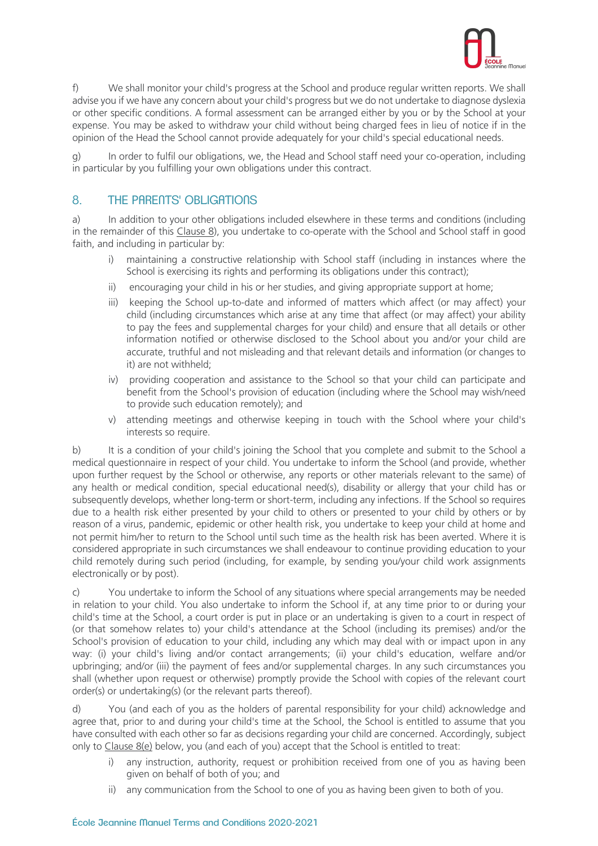

f) We shall monitor your child's progress at the School and produce regular written reports. We shall advise you if we have any concern about your child's progress but we do not undertake to diagnose dyslexia or other specific conditions. A formal assessment can be arranged either by you or by the School at your expense. You may be asked to withdraw your child without being charged fees in lieu of notice if in the opinion of the Head the School cannot provide adequately for your child's special educational needs.

g) In order to fulfil our obligations, we, the Head and School staff need your co-operation, including in particular by you fulfilling your own obligations under this contract.

#### 8. THE PARENTS' OBLIGATIONS

a) In addition to your other obligations included elsewhere in these terms and conditions (including in the remainder of this Clause 8), you undertake to co-operate with the School and School staff in good faith, and including in particular by:

- i) maintaining a constructive relationship with School staff (including in instances where the School is exercising its rights and performing its obligations under this contract);
- ii) encouraging your child in his or her studies, and giving appropriate support at home;
- iii) keeping the School up-to-date and informed of matters which affect (or may affect) your child (including circumstances which arise at any time that affect (or may affect) your ability to pay the fees and supplemental charges for your child) and ensure that all details or other information notified or otherwise disclosed to the School about you and/or your child are accurate, truthful and not misleading and that relevant details and information (or changes to it) are not withheld;
- iv) providing cooperation and assistance to the School so that your child can participate and benefit from the School's provision of education (including where the School may wish/need to provide such education remotely); and
- v) attending meetings and otherwise keeping in touch with the School where your child's interests so require.

b) It is a condition of your child's joining the School that you complete and submit to the School a medical questionnaire in respect of your child. You undertake to inform the School (and provide, whether upon further request by the School or otherwise, any reports or other materials relevant to the same) of any health or medical condition, special educational need(s), disability or allergy that your child has or subsequently develops, whether long-term or short-term, including any infections. If the School so requires due to a health risk either presented by your child to others or presented to your child by others or by reason of a virus, pandemic, epidemic or other health risk, you undertake to keep your child at home and not permit him/her to return to the School until such time as the health risk has been averted. Where it is considered appropriate in such circumstances we shall endeavour to continue providing education to your child remotely during such period (including, for example, by sending you/your child work assignments electronically or by post).

c) You undertake to inform the School of any situations where special arrangements may be needed in relation to your child. You also undertake to inform the School if, at any time prior to or during your child's time at the School, a court order is put in place or an undertaking is given to a court in respect of (or that somehow relates to) your child's attendance at the School (including its premises) and/or the School's provision of education to your child, including any which may deal with or impact upon in any way: (i) your child's living and/or contact arrangements; (ii) your child's education, welfare and/or upbringing; and/or (iii) the payment of fees and/or supplemental charges. In any such circumstances you shall (whether upon request or otherwise) promptly provide the School with copies of the relevant court order(s) or undertaking(s) (or the relevant parts thereof).

d) You (and each of you as the holders of parental responsibility for your child) acknowledge and agree that, prior to and during your child's time at the School, the School is entitled to assume that you have consulted with each other so far as decisions regarding your child are concerned. Accordingly, subject only to Clause 8(e) below, you (and each of you) accept that the School is entitled to treat:

- i) any instruction, authority, request or prohibition received from one of you as having been given on behalf of both of you; and
- ii) any communication from the School to one of you as having been given to both of you.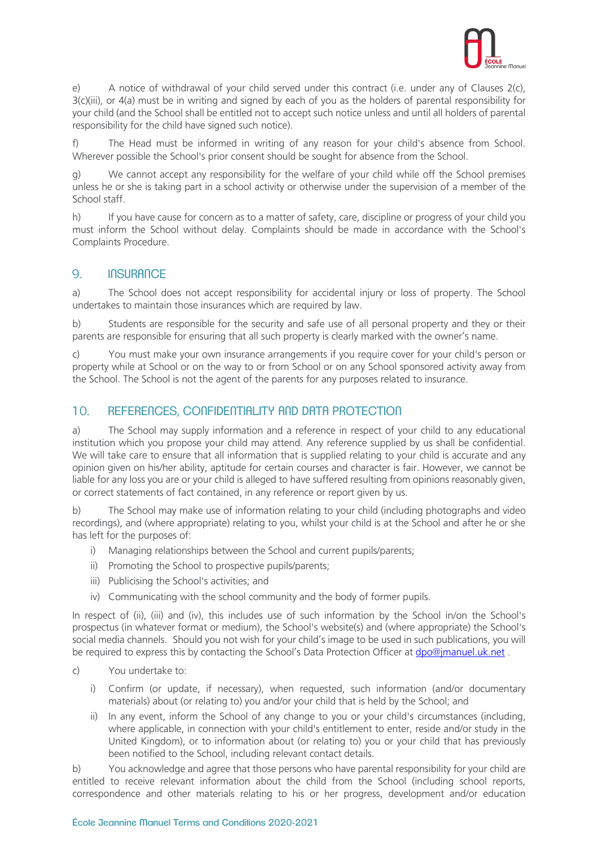

e) A notice of withdrawal of your child served under this contract (i.e. under any of Clauses 2(c), 3(c)(iii), or 4(a) must be in writing and signed by each of you as the holders of parental responsibility for your child (and the School shall be entitled not to accept such notice unless and until all holders of parental responsibility for the child have signed such notice).

f) The Head must be informed in writing of any reason for your child's absence from School. Wherever possible the School's prior consent should be sought for absence from the School.

g) We cannot accept any responsibility for the welfare of your child while off the School premises unless he or she is taking part in a school activity or otherwise under the supervision of a member of the School staff.

h) If you have cause for concern as to a matter of safety, care, discipline or progress of your child you must inform the School without delay. Complaints should be made in accordance with the School's Complaints Procedure.

#### 9. INSURANCE

a) The School does not accept responsibility for accidental injury or loss of property. The School undertakes to maintain those insurances which are required by law.

b) Students are responsible for the security and safe use of all personal property and they or their parents are responsible for ensuring that all such property is clearly marked with the owner's name.

c) You must make your own insurance arrangements if you require cover for your child's person or property while at School or on the way to or from School or on any School sponsored activity away from the School. The School is not the agent of the parents for any purposes related to insurance.

#### 10. REFERENCES, CONFIDENTIALITY AND DATA PROTECTION

a) The School may supply information and a reference in respect of your child to any educational institution which you propose your child may attend. Any reference supplied by us shall be confidential. We will take care to ensure that all information that is supplied relating to your child is accurate and any opinion given on his/her ability, aptitude for certain courses and character is fair. However, we cannot be liable for any loss you are or your child is alleged to have suffered resulting from opinions reasonably given, or correct statements of fact contained, in any reference or report given by us.

b) The School may make use of information relating to your child (including photographs and video recordings), and (where appropriate) relating to you, whilst your child is at the School and after he or she has left for the purposes of:

- i) Managing relationships between the School and current pupils/parents;
- ii) Promoting the School to prospective pupils/parents;
- iii) Publicising the School's activities; and
- iv) Communicating with the school community and the body of former pupils.

In respect of (ii), (iii) and (iv), this includes use of such information by the School in/on the School's prospectus (in whatever format or medium), the School's website(s) and (where appropriate) the School's social media channels. Should you not wish for your child's image to be used in such publications, you will be required to express this by contacting the School's Data Protection Officer at [dpo@jmanuel.uk.net](mailto:dpo@jmanuel.uk.net).

- c) You undertake to:
	- i) Confirm (or update, if necessary), when requested, such information (and/or documentary materials) about (or relating to) you and/or your child that is held by the School; and
	- ii) In any event, inform the School of any change to you or your child's circumstances (including, where applicable, in connection with your child's entitlement to enter, reside and/or study in the United Kingdom), or to information about (or relating to) you or your child that has previously been notified to the School, including relevant contact details.

b) You acknowledge and agree that those persons who have parental responsibility for your child are entitled to receive relevant information about the child from the School (including school reports, correspondence and other materials relating to his or her progress, development and/or education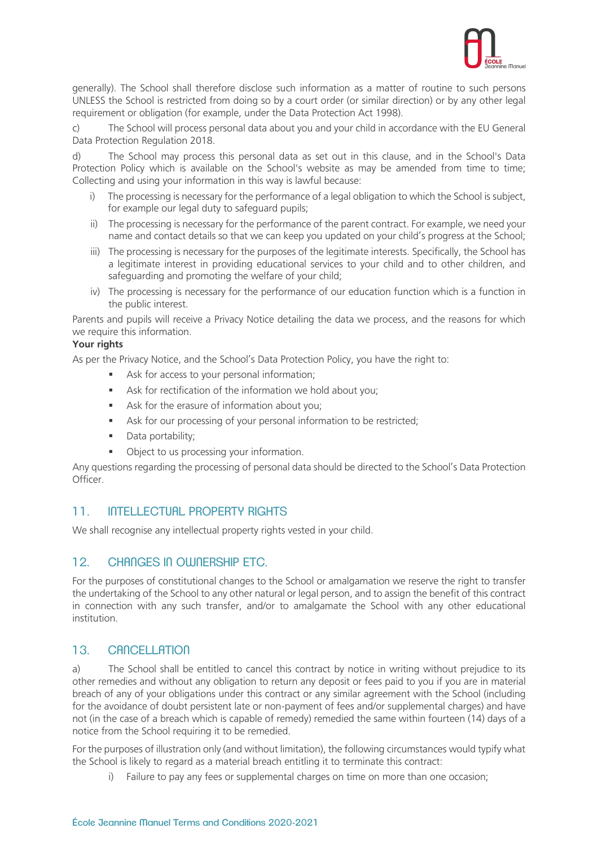

generally). The School shall therefore disclose such information as a matter of routine to such persons UNLESS the School is restricted from doing so by a court order (or similar direction) or by any other legal requirement or obligation (for example, under the Data Protection Act 1998).

c) The School will process personal data about you and your child in accordance with the EU General Data Protection Regulation 2018.

d) The School may process this personal data as set out in this clause, and in the School's Data Protection Policy which is available on the School's website as may be amended from time to time; Collecting and using your information in this way is lawful because:

- i) The processing is necessary for the performance of a legal obligation to which the School is subject, for example our legal duty to safeguard pupils;
- ii) The processing is necessary for the performance of the parent contract. For example, we need your name and contact details so that we can keep you updated on your child's progress at the School;
- iii) The processing is necessary for the purposes of the legitimate interests. Specifically, the School has a legitimate interest in providing educational services to your child and to other children, and safeguarding and promoting the welfare of your child;
- iv) The processing is necessary for the performance of our education function which is a function in the public interest.

Parents and pupils will receive a Privacy Notice detailing the data we process, and the reasons for which we require this information.

#### **Your rights**

As per the Privacy Notice, and the School's Data Protection Policy, you have the right to:

- Ask for access to your personal information;
- **•** Ask for rectification of the information we hold about you;
- Ask for the erasure of information about you;
- Ask for our processing of your personal information to be restricted;
- Data portability;
- Object to us processing your information.

Any questions regarding the processing of personal data should be directed to the School's Data Protection Officer.

#### 11. **INTELLECTUAL PROPERTY RIGHTS**

We shall recognise any intellectual property rights vested in your child.

#### 12. CHANGES IN OWNERSHIP ETC.

For the purposes of constitutional changes to the School or amalgamation we reserve the right to transfer the undertaking of the School to any other natural or legal person, and to assign the benefit of this contract in connection with any such transfer, and/or to amalgamate the School with any other educational institution.

#### 13. CANCELLATION

a) The School shall be entitled to cancel this contract by notice in writing without prejudice to its other remedies and without any obligation to return any deposit or fees paid to you if you are in material breach of any of your obligations under this contract or any similar agreement with the School (including for the avoidance of doubt persistent late or non-payment of fees and/or supplemental charges) and have not (in the case of a breach which is capable of remedy) remedied the same within fourteen (14) days of a notice from the School requiring it to be remedied.

For the purposes of illustration only (and without limitation), the following circumstances would typify what the School is likely to regard as a material breach entitling it to terminate this contract:

i) Failure to pay any fees or supplemental charges on time on more than one occasion;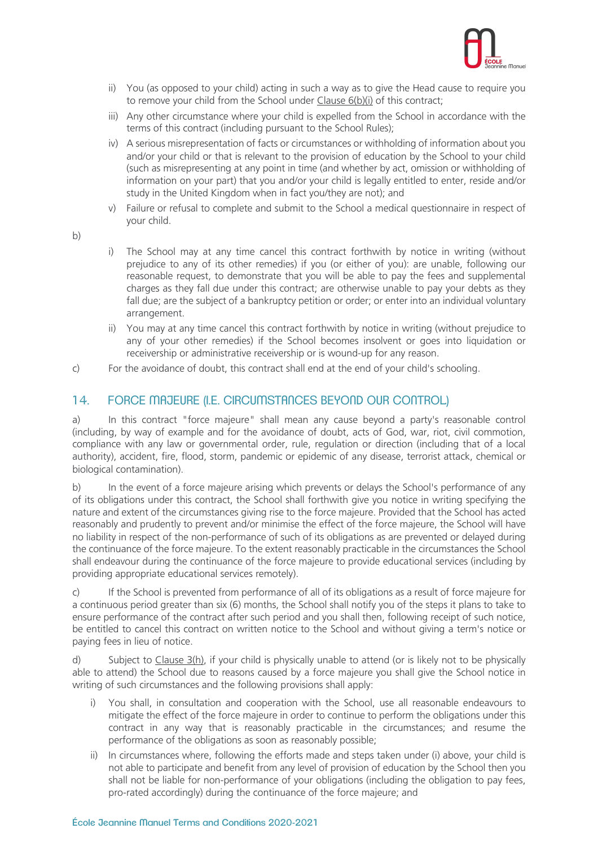

- ii) You (as opposed to your child) acting in such a way as to give the Head cause to require you to remove your child from the School under Clause 6(b)(i) of this contract;
- iii) Any other circumstance where your child is expelled from the School in accordance with the terms of this contract (including pursuant to the School Rules);
- iv) A serious misrepresentation of facts or circumstances or withholding of information about you and/or your child or that is relevant to the provision of education by the School to your child (such as misrepresenting at any point in time (and whether by act, omission or withholding of information on your part) that you and/or your child is legally entitled to enter, reside and/or study in the United Kingdom when in fact you/they are not); and
- v) Failure or refusal to complete and submit to the School a medical questionnaire in respect of your child.

b)

- i) The School may at any time cancel this contract forthwith by notice in writing (without prejudice to any of its other remedies) if you (or either of you): are unable, following our reasonable request, to demonstrate that you will be able to pay the fees and supplemental charges as they fall due under this contract; are otherwise unable to pay your debts as they fall due; are the subject of a bankruptcy petition or order; or enter into an individual voluntary arrangement.
- ii) You may at any time cancel this contract forthwith by notice in writing (without prejudice to any of your other remedies) if the School becomes insolvent or goes into liquidation or receivership or administrative receivership or is wound-up for any reason.
- c) For the avoidance of doubt, this contract shall end at the end of your child's schooling.

#### 14. FORCE MAJEURE (I.E. CIRCUMSTANCES BEYOND OUR CONTROL)

a) In this contract "force majeure" shall mean any cause beyond a party's reasonable control (including, by way of example and for the avoidance of doubt, acts of God, war, riot, civil commotion, compliance with any law or governmental order, rule, regulation or direction (including that of a local authority), accident, fire, flood, storm, pandemic or epidemic of any disease, terrorist attack, chemical or biological contamination).

b) In the event of a force majeure arising which prevents or delays the School's performance of any of its obligations under this contract, the School shall forthwith give you notice in writing specifying the nature and extent of the circumstances giving rise to the force majeure. Provided that the School has acted reasonably and prudently to prevent and/or minimise the effect of the force majeure, the School will have no liability in respect of the non-performance of such of its obligations as are prevented or delayed during the continuance of the force majeure. To the extent reasonably practicable in the circumstances the School shall endeavour during the continuance of the force majeure to provide educational services (including by providing appropriate educational services remotely).

c) If the School is prevented from performance of all of its obligations as a result of force majeure for a continuous period greater than six (6) months, the School shall notify you of the steps it plans to take to ensure performance of the contract after such period and you shall then, following receipt of such notice, be entitled to cancel this contract on written notice to the School and without giving a term's notice or paying fees in lieu of notice.

d) Subject to Clause 3(h), if your child is physically unable to attend (or is likely not to be physically able to attend) the School due to reasons caused by a force majeure you shall give the School notice in writing of such circumstances and the following provisions shall apply:

- i) You shall, in consultation and cooperation with the School, use all reasonable endeavours to mitigate the effect of the force majeure in order to continue to perform the obligations under this contract in any way that is reasonably practicable in the circumstances; and resume the performance of the obligations as soon as reasonably possible;
- ii) In circumstances where, following the efforts made and steps taken under (i) above, your child is not able to participate and benefit from any level of provision of education by the School then you shall not be liable for non-performance of your obligations (including the obligation to pay fees, pro-rated accordingly) during the continuance of the force majeure; and